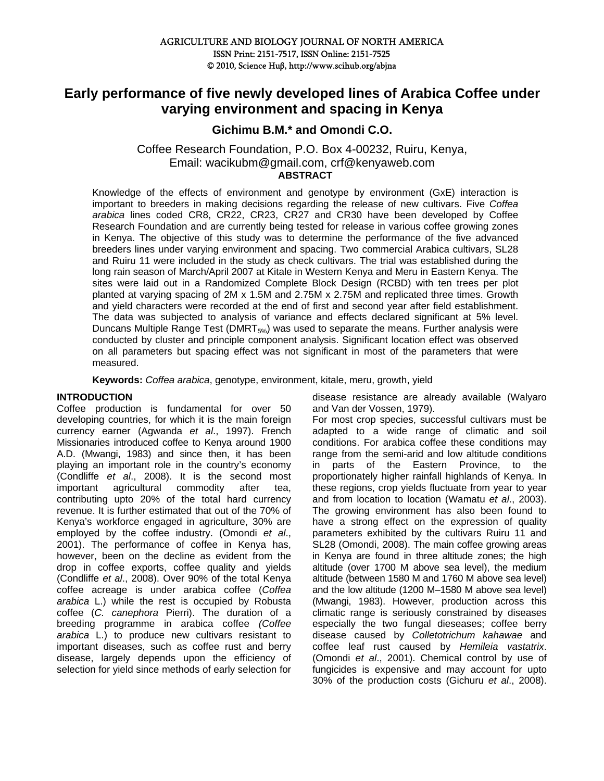# **Early performance of five newly developed lines of Arabica Coffee under varying environment and spacing in Kenya**

## **Gichimu B.M.\* and Omondi C.O.**

Coffee Research Foundation, P.O. Box 4-00232, Ruiru, Kenya, Email: wacikubm@gmail.com, crf@kenyaweb.com **ABSTRACT** 

Knowledge of the effects of environment and genotype by environment (GxE) interaction is important to breeders in making decisions regarding the release of new cultivars. Five *Coffea arabica* lines coded CR8, CR22, CR23, CR27 and CR30 have been developed by Coffee Research Foundation and are currently being tested for release in various coffee growing zones in Kenya. The objective of this study was to determine the performance of the five advanced breeders lines under varying environment and spacing. Two commercial Arabica cultivars, SL28 and Ruiru 11 were included in the study as check cultivars. The trial was established during the long rain season of March/April 2007 at Kitale in Western Kenya and Meru in Eastern Kenya. The sites were laid out in a Randomized Complete Block Design (RCBD) with ten trees per plot planted at varying spacing of 2M x 1.5M and 2.75M x 2.75M and replicated three times. Growth and yield characters were recorded at the end of first and second year after field establishment. The data was subjected to analysis of variance and effects declared significant at 5% level. Duncans Multiple Range Test (DMRT $_{5\%}$ ) was used to separate the means. Further analysis were conducted by cluster and principle component analysis. Significant location effect was observed on all parameters but spacing effect was not significant in most of the parameters that were measured.

**Keywords:** *Coffea arabica*, genotype, environment, kitale, meru, growth, yield

## **INTRODUCTION**

Coffee production is fundamental for over 50 developing countries, for which it is the main foreign currency earner (Agwanda *et al*., 1997). French Missionaries introduced coffee to Kenya around 1900 A.D. (Mwangi, 1983) and since then, it has been playing an important role in the country's economy (Condliffe *et al*., 2008). It is the second most important agricultural commodity after tea, contributing upto 20% of the total hard currency revenue. It is further estimated that out of the 70% of Kenya's workforce engaged in agriculture, 30% are employed by the coffee industry. (Omondi *et al*., 2001). The performance of coffee in Kenya has, however, been on the decline as evident from the drop in coffee exports, coffee quality and yields (Condliffe *et al*., 2008). Over 90% of the total Kenya coffee acreage is under arabica coffee (*Coffea arabica* L.) while the rest is occupied by Robusta coffee (*C. canephora* Pierri). The duration of a breeding programme in arabica coffee *(Coffee arabica* L.) to produce new cultivars resistant to important diseases, such as coffee rust and berry disease, largely depends upon the efficiency of selection for yield since methods of early selection for

disease resistance are already available (Walyaro and Van der Vossen, 1979).

For most crop species, successful cultivars must be adapted to a wide range of climatic and soil conditions. For arabica coffee these conditions may range from the semi-arid and low altitude conditions in parts of the Eastern Province, to the proportionately higher rainfall highlands of Kenya. In these regions, crop yields fluctuate from year to year and from location to location (Wamatu *et al*., 2003). The growing environment has also been found to have a strong effect on the expression of quality parameters exhibited by the cultivars Ruiru 11 and SL28 (Omondi, 2008). The main coffee growing areas in Kenya are found in three altitude zones; the high altitude (over 1700 M above sea level), the medium altitude (between 1580 M and 1760 M above sea level) and the low altitude (1200 M–1580 M above sea level) (Mwangi, 1983). However, production across this climatic range is seriously constrained by diseases especially the two fungal dieseases; coffee berry disease caused by *Colletotrichum kahawae* and coffee leaf rust caused by *Hemileia vastatrix*. (Omondi *et al*., 2001). Chemical control by use of fungicides is expensive and may account for upto 30% of the production costs (Gichuru *et al*., 2008).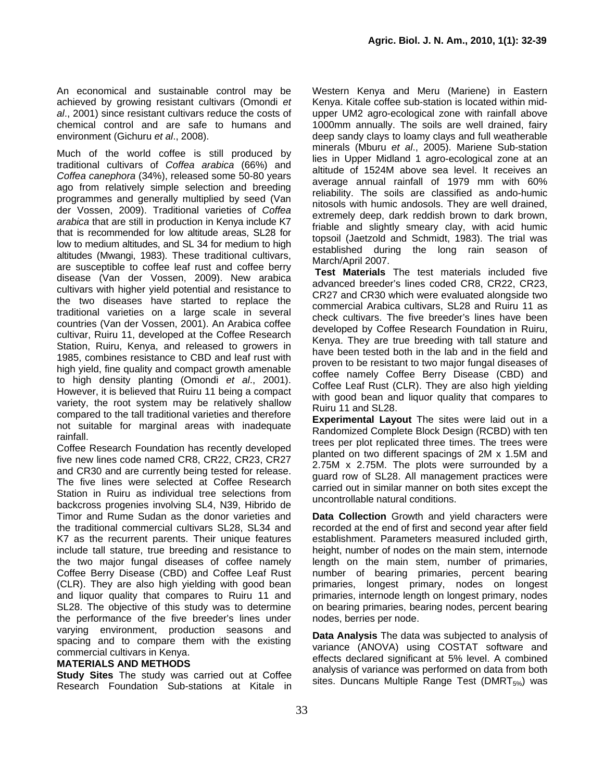An economical and sustainable control may be achieved by growing resistant cultivars (Omondi *et al*., 2001) since resistant cultivars reduce the costs of chemical control and are safe to humans and environment (Gichuru *et al*., 2008).

Much of the world coffee is still produced by traditional cultivars of *Coffea arabica* (66%) and *Coffea canephora* (34%), released some 50-80 years ago from relatively simple selection and breeding programmes and generally multiplied by seed (Van der Vossen, 2009). Traditional varieties of *Coffea arabica* that are still in production in Kenya include K7 that is recommended for low altitude areas, SL28 for low to medium altitudes, and SL 34 for medium to high altitudes (Mwangi, 1983). These traditional cultivars, are susceptible to coffee leaf rust and coffee berry disease (Van der Vossen, 2009). New arabica cultivars with higher yield potential and resistance to the two diseases have started to replace the traditional varieties on a large scale in several countries (Van der Vossen, 2001). An Arabica coffee cultivar, Ruiru 11, developed at the Coffee Research Station, Ruiru, Kenya, and released to growers in 1985, combines resistance to CBD and leaf rust with high yield, fine quality and compact growth amenable to high density planting (Omondi *et al*., 2001). However, it is believed that Ruiru 11 being a compact variety, the root system may be relatively shallow compared to the tall traditional varieties and therefore not suitable for marginal areas with inadequate rainfall.

Coffee Research Foundation has recently developed five new lines code named CR8, CR22, CR23, CR27 and CR30 and are currently being tested for release. The five lines were selected at Coffee Research Station in Ruiru as individual tree selections from backcross progenies involving SL4, N39, Hibrido de Timor and Rume Sudan as the donor varieties and the traditional commercial cultivars SL28, SL34 and K7 as the recurrent parents. Their unique features include tall stature, true breeding and resistance to the two major fungal diseases of coffee namely Coffee Berry Disease (CBD) and Coffee Leaf Rust (CLR). They are also high yielding with good bean and liquor quality that compares to Ruiru 11 and SL28. The objective of this study was to determine the performance of the five breeder's lines under varying environment, production seasons and spacing and to compare them with the existing commercial cultivars in Kenya.

#### **MATERIALS AND METHODS**

**Study Sites** The study was carried out at Coffee Research Foundation Sub-stations at Kitale in Western Kenya and Meru (Mariene) in Eastern Kenya. Kitale coffee sub-station is located within midupper UM2 agro-ecological zone with rainfall above 1000mm annually. The soils are well drained, fairy deep sandy clays to loamy clays and full weatherable minerals (Mburu *et al*., 2005). Mariene Sub-station lies in Upper Midland 1 agro-ecological zone at an altitude of 1524M above sea level. It receives an average annual rainfall of 1979 mm with 60% reliability. The soils are classified as ando-humic nitosols with humic andosols. They are well drained, extremely deep, dark reddish brown to dark brown, friable and slightly smeary clay, with acid humic topsoil (Jaetzold and Schmidt, 1983). The trial was established during the long rain season of March/April 2007.

**Test Materials** The test materials included five advanced breeder's lines coded CR8, CR22, CR23, CR27 and CR30 which were evaluated alongside two commercial Arabica cultivars, SL28 and Ruiru 11 as check cultivars. The five breeder's lines have been developed by Coffee Research Foundation in Ruiru, Kenya. They are true breeding with tall stature and have been tested both in the lab and in the field and proven to be resistant to two major fungal diseases of coffee namely Coffee Berry Disease (CBD) and Coffee Leaf Rust (CLR). They are also high yielding with good bean and liquor quality that compares to Ruiru 11 and SL28.

**Experimental Layout** The sites were laid out in a Randomized Complete Block Design (RCBD) with ten trees per plot replicated three times. The trees were planted on two different spacings of 2M x 1.5M and 2.75M x 2.75M. The plots were surrounded by a guard row of SL28. All management practices were carried out in similar manner on both sites except the uncontrollable natural conditions.

**Data Collection** Growth and yield characters were recorded at the end of first and second year after field establishment. Parameters measured included girth, height, number of nodes on the main stem, internode length on the main stem, number of primaries, number of bearing primaries, percent bearing primaries, longest primary, nodes on longest primaries, internode length on longest primary, nodes on bearing primaries, bearing nodes, percent bearing nodes, berries per node.

**Data Analysis** The data was subjected to analysis of variance (ANOVA) using COSTAT software and effects declared significant at 5% level. A combined analysis of variance was performed on data from both sites. Duncans Multiple Range Test (DMRT $_{5\%}$ ) was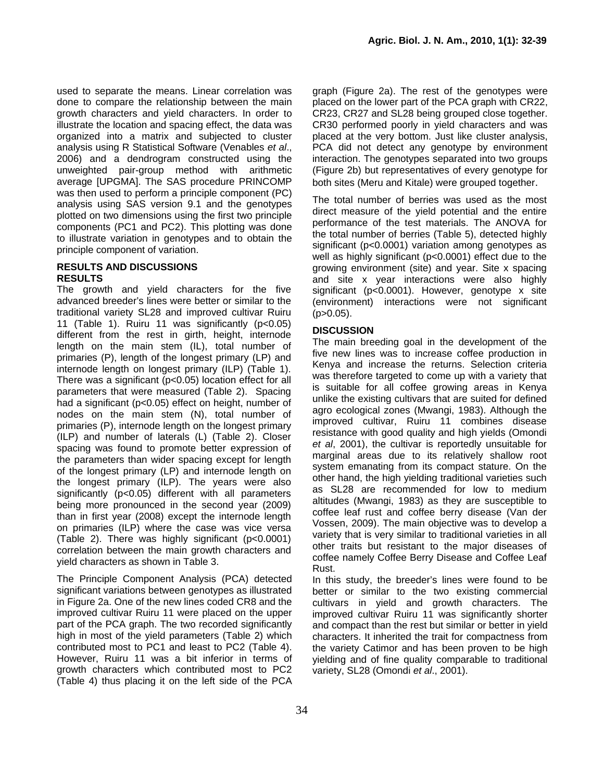used to separate the means. Linear correlation was done to compare the relationship between the main growth characters and yield characters. In order to illustrate the location and spacing effect, the data was organized into a matrix and subjected to cluster analysis using R Statistical Software (Venables *et al*., 2006) and a dendrogram constructed using the unweighted pair-group method with arithmetic average [UPGMA]. The SAS procedure PRINCOMP was then used to perform a principle component (PC) analysis using SAS version 9.1 and the genotypes plotted on two dimensions using the first two principle components (PC1 and PC2). This plotting was done to illustrate variation in genotypes and to obtain the principle component of variation.

### **RESULTS AND DISCUSSIONS RESULTS**

The growth and yield characters for the five advanced breeder's lines were better or similar to the traditional variety SL28 and improved cultivar Ruiru 11 (Table 1). Ruiru 11 was significantly (p<0.05) different from the rest in girth, height, internode length on the main stem (IL), total number of primaries (P), length of the longest primary (LP) and internode length on longest primary (ILP) (Table 1). There was a significant (p<0.05) location effect for all parameters that were measured (Table 2). Spacing had a significant (p<0.05) effect on height, number of nodes on the main stem (N), total number of primaries (P), internode length on the longest primary (ILP) and number of laterals (L) (Table 2). Closer spacing was found to promote better expression of the parameters than wider spacing except for length of the longest primary (LP) and internode length on the longest primary (ILP). The years were also significantly (p<0.05) different with all parameters being more pronounced in the second year (2009) than in first year (2008) except the internode length on primaries (ILP) where the case was vice versa (Table 2). There was highly significant (p<0.0001) correlation between the main growth characters and yield characters as shown in Table 3.

The Principle Component Analysis (PCA) detected significant variations between genotypes as illustrated in Figure 2a. One of the new lines coded CR8 and the improved cultivar Ruiru 11 were placed on the upper part of the PCA graph. The two recorded significantly high in most of the yield parameters (Table 2) which contributed most to PC1 and least to PC2 (Table 4). However, Ruiru 11 was a bit inferior in terms of growth characters which contributed most to PC2 (Table 4) thus placing it on the left side of the PCA graph (Figure 2a). The rest of the genotypes were placed on the lower part of the PCA graph with CR22, CR23, CR27 and SL28 being grouped close together. CR30 performed poorly in yield characters and was placed at the very bottom. Just like cluster analysis, PCA did not detect any genotype by environment interaction. The genotypes separated into two groups (Figure 2b) but representatives of every genotype for both sites (Meru and Kitale) were grouped together.

The total number of berries was used as the most direct measure of the yield potential and the entire performance of the test materials. The ANOVA for the total number of berries (Table 5), detected highly significant (p<0.0001) variation among genotypes as well as highly significant (p<0.0001) effect due to the growing environment (site) and year. Site x spacing and site x year interactions were also highly significant (p<0.0001). However, genotype x site (environment) interactions were not significant  $(p>0.05)$ .

## **DISCUSSION**

The main breeding goal in the development of the five new lines was to increase coffee production in Kenya and increase the returns. Selection criteria was therefore targeted to come up with a variety that is suitable for all coffee growing areas in Kenya unlike the existing cultivars that are suited for defined agro ecological zones (Mwangi, 1983). Although the improved cultivar, Ruiru 11 combines disease resistance with good quality and high yields (Omondi *et al*, 2001), the cultivar is reportedly unsuitable for marginal areas due to its relatively shallow root system emanating from its compact stature. On the other hand, the high yielding traditional varieties such as SL28 are recommended for low to medium altitudes (Mwangi, 1983) as they are susceptible to coffee leaf rust and coffee berry disease (Van der Vossen, 2009). The main objective was to develop a variety that is very similar to traditional varieties in all other traits but resistant to the major diseases of coffee namely Coffee Berry Disease and Coffee Leaf Rust.

In this study, the breeder's lines were found to be better or similar to the two existing commercial cultivars in yield and growth characters. The improved cultivar Ruiru 11 was significantly shorter and compact than the rest but similar or better in yield characters. It inherited the trait for compactness from the variety Catimor and has been proven to be high yielding and of fine quality comparable to traditional variety, SL28 (Omondi *et al*., 2001).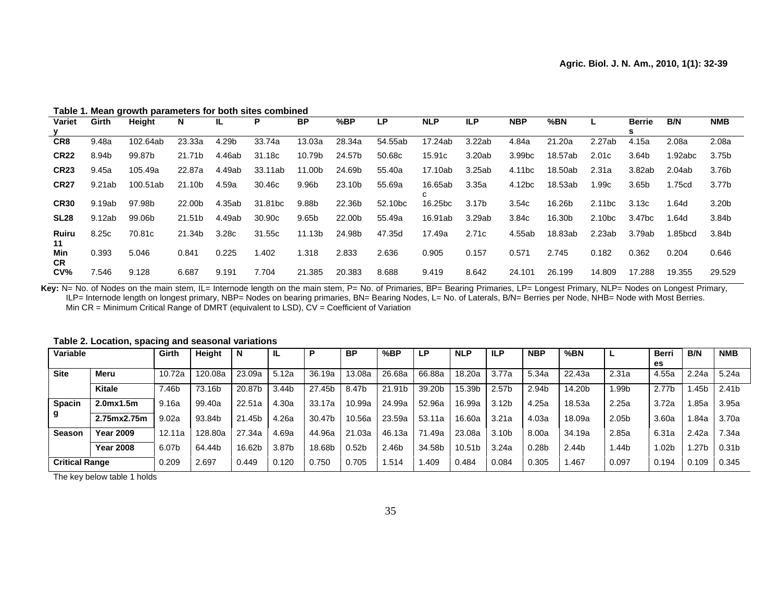**Table 1. Mean growth parameters for both sites combined** 

| Variet           | Girth  | Height   | N      | -lL    | Р                   | <b>BP</b> | %BP    | LP.                 | <b>NLP</b>   | <b>ILP</b>        | <b>NBP</b>         | %BN     |                    | <b>Berrie</b>     | B/N      | <b>NMB</b> |
|------------------|--------|----------|--------|--------|---------------------|-----------|--------|---------------------|--------------|-------------------|--------------------|---------|--------------------|-------------------|----------|------------|
|                  |        |          |        |        |                     |           |        |                     |              |                   |                    |         |                    |                   |          |            |
| CR8              | 9.48a  | 102.64ab | 23.33a | 4.29b  | 33.74a              | 13.03a    | 28.34a | 54.55ab             | 17.24ab      | 3.22ab            | 4.84a              | 21.20a  | 2.27ab             | 4.15a             | 2.08a    | 2.08a      |
| <b>CR22</b>      | 8.94b  | 99.87b   | 21.71b | 4.46ab | 31.18c              | 10.79b    | 24.57b | 50.68c              | 15.91c       | 3.20ab            | 3.99 <sub>bc</sub> | 18.57ab | 2.01c              | 3.64b             | 1.92abc  | 3.75b      |
| <b>CR23</b>      | 9.45a  | 105.49a  | 22.87a | 4.49ab | 33.11ab             | 11.00b    | 24.69b | 55.40a              | 17.10ab      | 3.25ab            | 4.11 <sub>bc</sub> | 18.50ab | 2.31a              | 3.82ab            | 2.04ab   | 3.76b      |
| <b>CR27</b>      | 9.21ab | 100.51ab | 21.10b | 4.59a  | 30.46c              | 9.96b     | 23.10b | 55.69a              | 16.65ab<br>C | 3.35a             | 4.12 <sub>bc</sub> | 18.53ab | ∣.99c              | 3.65 <sub>b</sub> | .75cd    | 3.77b      |
| <b>CR30</b>      | 9.19ab | 97.98b   | 22.00b | 4.35ab | 31.81 <sub>bc</sub> | 9.88b     | 22.36b | 52.10 <sub>bc</sub> | 16.25bc      | 3.17 <sub>b</sub> | 3.54c              | 16.26b  | 2.11 <sub>bc</sub> | 3.13c             | ∣.64d    | 3.20b      |
| SL <sub>28</sub> | 9.12ab | 99.06b   | 21.51b | 4.49ab | 30.90c              | 9.65b     | 22.00b | 55.49a              | 16.91ab      | 3.29ab            | 3.84c              | 16.30b  | 2.10 <sub>bc</sub> | 3.47bc            | ∣.64d    | 3.84b      |
| Ruiru<br>11      | 8.25c  | 70.81c   | 21.34b | 3.28c  | 31.55c              | 11.13b    | 24.98b | 47.35d              | 17.49a       | 2.71c             | 4.55ab             | 18.83ab | 2.23ab             | 3.79ab            | 85bcd. ا | 3.84b      |
| Min<br><b>CR</b> | 0.393  | 5.046    | 0.841  | 0.225  | .402                | 1.318     | 2.833  | 2.636               | 0.905        | 0.157             | 0.571              | 2.745   | 0.182              | 0.362             | 0.204    | 0.646      |
| CV <sub>6</sub>  | 7.546  | 9.128    | 6.687  | 9.191  | 7.704               | 21.385    | 20.383 | 8.688               | 9.419        | 8.642             | 24.101             | 26.199  | 14.809             | 17.288            | 19.355   | 29.529     |

Key: N= No. of Nodes on the main stem, IL= Internode length on the main stem, P= No. of Primaries, BP= Bearing Primaries, LP= Longest Primary, NLP= Nodes on Longest Primary, ILP= Internode length on longest primary, NBP= Nodes on bearing primaries, BN= Bearing Nodes, L= No. of Laterals, B/N= Berries per Node, NHB= Node with Most Berries. Min CR = Minimum Critical Range of DMRT (equivalent to LSD), CV = Coefficient of Variation

| Variable              |                                    | Girth  | Height  | N      | IL.   | Þ      | <b>BP</b>         | %BP    | LP.    | <b>NLP</b> | <b>ILP</b>        | <b>NBP</b>        | %BN    |                   | <b>Berri</b>      | B/N   | <b>NMB</b>        |
|-----------------------|------------------------------------|--------|---------|--------|-------|--------|-------------------|--------|--------|------------|-------------------|-------------------|--------|-------------------|-------------------|-------|-------------------|
|                       |                                    |        |         |        |       |        |                   |        |        |            |                   |                   |        |                   | es.               |       |                   |
| <b>Site</b>           | Meru                               | 10.72a | 120.08a | 23.09a | 5.12a | 36.19a | 13.08a            | 26.68a | 66.88a | 18.20a     | 3.77a             | 5.34a             | 22.43a | 2.31a             | 4.55a             | 2.24a | 5.24a             |
|                       | <b>Kitale</b>                      | 7.46b  | 73.16b  | 20.87b | 3.44b | 27.45b | 8.47b             | 21.91b | 39.20b | 15.39b     | 2.57 <sub>b</sub> | 2.94b             | 14.20b | .99b              | 2.77b             | .45b  | 2.41b             |
| <b>Spacin</b>         | 2.0 <sub>mx</sub> 1.5 <sub>m</sub> | 9.16a  | 99.40a  | 22.51a | 4.30a | 33.17a | 10.99a            | 24.99a | 52.96a | 16.99a     | 3.12 <sub>b</sub> | 4.25a             | 18.53a | 2.25a             | 3.72a             | .85a  | 3.95a             |
|                       | 2.75mx2.75m                        | 9.02a  | 93.84b  | 21.45b | 4.26a | 30.47b | 10.56a            | 23.59a | 53.11a | 16.60a     | 3.21a             | 4.03a             | 18.09a | 2.05 <sub>b</sub> | 3.60a             | .84a  | 3.70a             |
| <b>Season</b>         | <b>Year 2009</b>                   | 12.11a | 128.80a | 27.34a | 4.69a | 44.96a | 21.03a            | 46.13a | .49a   | 23.08a     | 3.10b             | 8.00a             | 34.19a | 2.85a             | 6.31a             | 2.42a | 7.34a             |
|                       | <b>Year 2008</b>                   | 6.07b  | 64.44b  | 16.62b | 3.87b | 18.68b | 0.52 <sub>b</sub> | 2.46b  | 34.58b | 10.51b     | 3.24a             | 0.28 <sub>b</sub> | 2.44b  | .44b              | 1.02 <sub>b</sub> | .27b  | 0.31 <sub>b</sub> |
| <b>Critical Range</b> |                                    | 0.209  | 2.697   | 0.449  | 0.120 | 0.750  | 0.705             | .514   | 409. ، | 0.484      | 0.084             | 0.305             | .467   | 0.097             | 0.194             | 0.109 | 0.345             |

**Table 2. Location, spacing and seasonal variations** 

The key below table 1 holds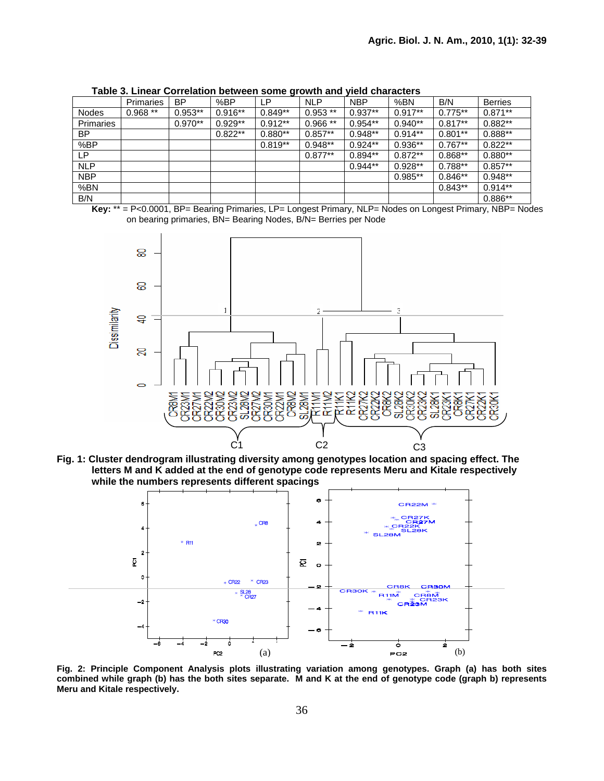|                  | Primaries | ΒP        | %BP       | ιP        | <b>NLP</b> | <b>NBP</b> | %BN       | B/N       | <b>Berries</b> |
|------------------|-----------|-----------|-----------|-----------|------------|------------|-----------|-----------|----------------|
| <b>Nodes</b>     | $0.968**$ | $0.953**$ | $0.916**$ | $0.849**$ | $0.953**$  | $0.937**$  | $0.917**$ | $0.775**$ | $0.871**$      |
| <b>Primaries</b> |           | $0.970**$ | $0.929**$ | $0.912**$ | $0.966**$  | $0.954**$  | $0.940**$ | $0.817**$ | $0.882**$      |
| BP               |           |           | $0.822**$ | $0.880**$ | $0.857**$  | $0.948**$  | $0.914**$ | $0.801**$ | $0.888**$      |
| %BP              |           |           |           | $0.819**$ | $0.948**$  | $0.924**$  | $0.936**$ | $0.767**$ | $0.822**$      |
| ∟P               |           |           |           |           | $0.877**$  | $0.894**$  | $0.872**$ | $0.868**$ | $0.880**$      |
| <b>NLP</b>       |           |           |           |           |            | $0.944**$  | $0.928**$ | $0.788**$ | $0.857**$      |
| <b>NBP</b>       |           |           |           |           |            |            | $0.985**$ | $0.846**$ | $0.948**$      |
| %BN              |           |           |           |           |            |            |           | $0.843**$ | $0.914**$      |
| B/N              |           |           |           |           |            |            |           |           | $0.886**$      |

**Table 3. Linear Correlation between some growth and yield characters** 

**Key:** \*\* = P<0.0001, BP= Bearing Primaries, LP= Longest Primary, NLP= Nodes on Longest Primary, NBP= Nodes on bearing primaries, BN= Bearing Nodes, B/N= Berries per Node



**Fig. 1: Cluster dendrogram illustrating diversity among genotypes location and spacing effect. The letters M and K added at the end of genotype code represents Meru and Kitale respectively while the numbers represents different spacings** 



**Fig. 2: Principle Component Analysis plots illustrating variation among genotypes. Graph (a) has both sites combined while graph (b) has the both sites separate. M and K at the end of genotype code (graph b) represents Meru and Kitale respectively.**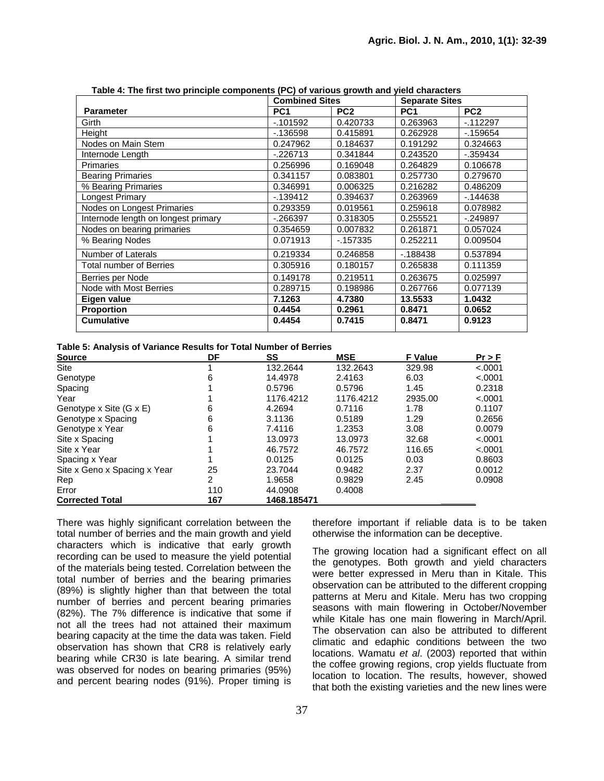|                                     | <b>Combined Sites</b> |                 | <b>Separate Sites</b> |                 |  |
|-------------------------------------|-----------------------|-----------------|-----------------------|-----------------|--|
| <b>Parameter</b>                    | PC <sub>1</sub>       | PC <sub>2</sub> | PC <sub>1</sub>       | PC <sub>2</sub> |  |
| Girth                               | $-101592$             | 0.420733        | 0.263963              | $-112297$       |  |
| Height                              | $-136598$             | 0.415891        | 0.262928              | $-159654$       |  |
| Nodes on Main Stem                  | 0.247962              | 0.184637        | 0.191292              | 0.324663        |  |
| Internode Length                    | $-226713$             | 0.341844        | 0.243520              | $-.359434$      |  |
| Primaries                           | 0.256996              | 0.169048        | 0.264829              | 0.106678        |  |
| <b>Bearing Primaries</b>            | 0.341157              | 0.083801        | 0.257730              | 0.279670        |  |
| % Bearing Primaries                 | 0.346991              | 0.006325        | 0.216282              | 0.486209        |  |
| Longest Primary                     | $-139412$             | 0.394637        | 0.263969              | $-144638$       |  |
| Nodes on Longest Primaries          | 0.293359              | 0.019561        | 0.259618              | 0.078982        |  |
| Internode length on longest primary | $-266397$             | 0.318305        | 0.255521              | $-249897$       |  |
| Nodes on bearing primaries          | 0.354659              | 0.007832        | 0.261871              | 0.057024        |  |
| % Bearing Nodes                     | 0.071913              | $-157335$       | 0.252211              | 0.009504        |  |
| Number of Laterals                  | 0.219334              | 0.246858        | $-188438$             | 0.537894        |  |
| Total number of Berries             | 0.305916              | 0.180157        | 0.265838              | 0.111359        |  |
| Berries per Node                    | 0.149178              | 0.219511        | 0.263675              | 0.025997        |  |
| Node with Most Berries              | 0.289715              | 0.198986        | 0.267766              | 0.077139        |  |
| Eigen value                         | 7.1263                | 4.7380          | 13.5533               | 1.0432          |  |
| <b>Proportion</b>                   | 0.4454                | 0.2961          | 0.8471                | 0.0652          |  |
| <b>Cumulative</b>                   | 0.4454                | 0.7415          | 0.8471                | 0.9123          |  |

**Table 4: The first two principle components (PC) of various growth and yield characters** 

| Table 5: Analysis of Variance Results for Total Number of Berries |
|-------------------------------------------------------------------|
|-------------------------------------------------------------------|

| <b>Source</b>                | DF  | SS          | <b>MSE</b> | <b>F</b> Value | Pr > F  |
|------------------------------|-----|-------------|------------|----------------|---------|
| <b>Site</b>                  |     | 132.2644    | 132.2643   | 329.98         | < .0001 |
| Genotype                     | 6   | 14.4978     | 2.4163     | 6.03           | < .0001 |
| Spacing                      |     | 0.5796      | 0.5796     | 1.45           | 0.2318  |
| Year                         |     | 1176.4212   | 1176.4212  | 2935.00        | < .0001 |
| Genotype x Site (G x E)      | 6   | 4.2694      | 0.7116     | 1.78           | 0.1107  |
| Genotype x Spacing           | 6   | 3.1136      | 0.5189     | 1.29           | 0.2656  |
| Genotype x Year              | 6   | 7.4116      | 1.2353     | 3.08           | 0.0079  |
| Site x Spacing               |     | 13.0973     | 13.0973    | 32.68          | < .0001 |
| Site x Year                  |     | 46.7572     | 46.7572    | 116.65         | < .0001 |
| Spacing x Year               |     | 0.0125      | 0.0125     | 0.03           | 0.8603  |
| Site x Geno x Spacing x Year | 25  | 23.7044     | 0.9482     | 2.37           | 0.0012  |
| Rep                          | 2   | 1.9658      | 0.9829     | 2.45           | 0.0908  |
| Error                        | 110 | 44.0908     | 0.4008     |                |         |
| <b>Corrected Total</b>       | 167 | 1468.185471 |            |                |         |

There was highly significant correlation between the total number of berries and the main growth and yield characters which is indicative that early growth recording can be used to measure the yield potential of the materials being tested. Correlation between the total number of berries and the bearing primaries (89%) is slightly higher than that between the total number of berries and percent bearing primaries (82%). The 7% difference is indicative that some if not all the trees had not attained their maximum bearing capacity at the time the data was taken. Field observation has shown that CR8 is relatively early bearing while CR30 is late bearing. A similar trend was observed for nodes on bearing primaries (95%) and percent bearing nodes (91%). Proper timing is

therefore important if reliable data is to be taken otherwise the information can be deceptive.

The growing location had a significant effect on all the genotypes. Both growth and yield characters were better expressed in Meru than in Kitale. This observation can be attributed to the different cropping patterns at Meru and Kitale. Meru has two cropping seasons with main flowering in October/November while Kitale has one main flowering in March/April. The observation can also be attributed to different climatic and edaphic conditions between the two locations. Wamatu *et al*. (2003) reported that within the coffee growing regions, crop yields fluctuate from location to location. The results, however, showed that both the existing varieties and the new lines were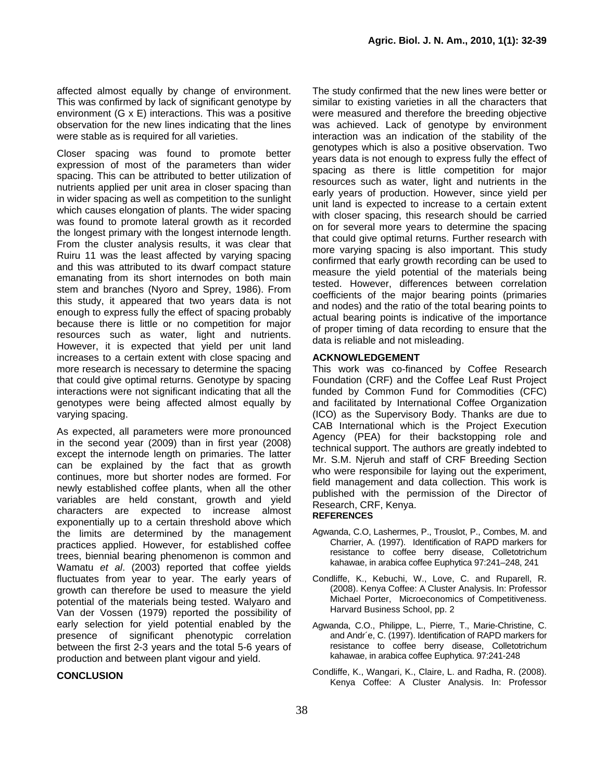affected almost equally by change of environment. This was confirmed by lack of significant genotype by environment (G x E) interactions. This was a positive observation for the new lines indicating that the lines were stable as is required for all varieties.

Closer spacing was found to promote better expression of most of the parameters than wider spacing. This can be attributed to better utilization of nutrients applied per unit area in closer spacing than in wider spacing as well as competition to the sunlight which causes elongation of plants. The wider spacing was found to promote lateral growth as it recorded the longest primary with the longest internode length. From the cluster analysis results, it was clear that Ruiru 11 was the least affected by varying spacing and this was attributed to its dwarf compact stature emanating from its short internodes on both main stem and branches (Nyoro and Sprey, 1986). From this study, it appeared that two years data is not enough to express fully the effect of spacing probably because there is little or no competition for major resources such as water, light and nutrients. However, it is expected that yield per unit land increases to a certain extent with close spacing and more research is necessary to determine the spacing that could give optimal returns. Genotype by spacing interactions were not significant indicating that all the genotypes were being affected almost equally by varying spacing.

As expected, all parameters were more pronounced in the second year (2009) than in first year (2008) except the internode length on primaries. The latter can be explained by the fact that as growth continues, more but shorter nodes are formed. For newly established coffee plants, when all the other variables are held constant, growth and yield characters are expected to increase almost exponentially up to a certain threshold above which the limits are determined by the management practices applied. However, for established coffee trees, biennial bearing phenomenon is common and Wamatu *et al*. (2003) reported that coffee yields fluctuates from year to year. The early years of growth can therefore be used to measure the yield potential of the materials being tested. Walyaro and Van der Vossen (1979) reported the possibility of early selection for yield potential enabled by the presence of significant phenotypic correlation between the first 2-3 years and the total 5-6 years of production and between plant vigour and yield.

#### **CONCLUSION**

The study confirmed that the new lines were better or similar to existing varieties in all the characters that were measured and therefore the breeding objective was achieved. Lack of genotype by environment interaction was an indication of the stability of the genotypes which is also a positive observation. Two years data is not enough to express fully the effect of spacing as there is little competition for major resources such as water, light and nutrients in the early years of production. However, since yield per unit land is expected to increase to a certain extent with closer spacing, this research should be carried on for several more years to determine the spacing that could give optimal returns. Further research with more varying spacing is also important. This study confirmed that early growth recording can be used to measure the yield potential of the materials being tested. However, differences between correlation coefficients of the major bearing points (primaries and nodes) and the ratio of the total bearing points to actual bearing points is indicative of the importance of proper timing of data recording to ensure that the data is reliable and not misleading.

#### **ACKNOWLEDGEMENT**

This work was co-financed by Coffee Research Foundation (CRF) and the Coffee Leaf Rust Project funded by Common Fund for Commodities (CFC) and facilitated by International Coffee Organization (ICO) as the Supervisory Body. Thanks are due to CAB International which is the Project Execution Agency (PEA) for their backstopping role and technical support. The authors are greatly indebted to Mr. S.M. Njeruh and staff of CRF Breeding Section who were responsibile for laying out the experiment, field management and data collection. This work is published with the permission of the Director of Research, CRF, Kenya.

#### **REFERENCES**

- Agwanda, C.O, Lashermes, P., Trouslot, P., Combes, M. and Charrier, A. (1997). Identification of RAPD markers for resistance to coffee berry disease, Colletotrichum kahawae, in arabica coffee Euphytica 97:241–248, 241
- Condliffe, K., Kebuchi, W., Love, C. and Ruparell, R. (2008). Kenya Coffee: A Cluster Analysis. In: Professor Michael Porter, Microeconomics of Competitiveness. Harvard Business School, pp. 2
- Agwanda, C.O., Philippe, L., Pierre, T., Marie-Christine, C. and Andr´e, C. (1997). Identification of RAPD markers for resistance to coffee berry disease, Colletotrichum kahawae, in arabica coffee Euphytica. 97:241-248
- Condliffe, K., Wangari, K., Claire, L. and Radha, R. (2008). Kenya Coffee: A Cluster Analysis. In: Professor